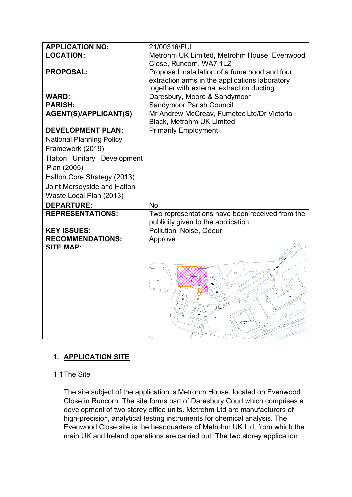| <b>APPLICATION NO:</b>          | 21/00316/FUL                                    |
|---------------------------------|-------------------------------------------------|
| <b>LOCATION:</b>                | Metrohm UK Limited, Metrohm House, Evenwood     |
|                                 | Close, Runcorn, WA7 1LZ                         |
| <b>PROPOSAL:</b>                | Proposed installation of a fume hood and four   |
|                                 | extraction arms in the applications laboratory  |
|                                 | together with external extraction ducting       |
| <b>WARD:</b>                    | Daresbury, Moore & Sandymoor                    |
| <b>PARISH:</b>                  | <b>Sandymoor Parish Council</b>                 |
| <b>AGENT(S)/APPLICANT(S)</b>    | Mr Andrew McCreav, Fumetec Ltd/Dr Victoria      |
|                                 | Black, Metrohm UK Limited                       |
| <b>DEVELOPMENT PLAN:</b>        | <b>Primarily Employment</b>                     |
| <b>National Planning Policy</b> |                                                 |
| Framework (2019)                |                                                 |
| Halton Unitary Development      |                                                 |
| Plan (2005)                     |                                                 |
| Halton Core Strategy (2013)     |                                                 |
| Joint Merseyside and Halton     |                                                 |
| Waste Local Plan (2013)         |                                                 |
| <b>DEPARTURE:</b>               | <b>No</b>                                       |
| <b>REPRESENTATIONS:</b>         | Two representations have been received from the |
|                                 | publicity given to the application.             |
| <b>KEY ISSUES:</b>              | Pollution, Noise, Odour                         |
| <b>RECOMMENDATIONS:</b>         | Approve                                         |
| <b>SITE MAP:</b>                |                                                 |

# **1. APPLICATION SITE**

# 1.1 The Site

The site subject of the application is Metrohm House, located on Evenwood Close in Runcorn. The site forms part of Daresbury Court which comprises a development of two storey office units. Metrohm Ltd are manufacturers of high-precision, analytical testing instruments for chemical analysis. The Evenwood Close site is the headquarters of Metrohm UK Ltd, from which the main UK and Ireland operations are carried out. The two storey application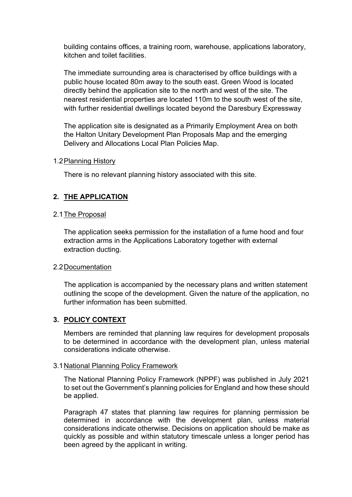building contains offices, a training room, warehouse, applications laboratory, kitchen and toilet facilities.

The immediate surrounding area is characterised by office buildings with a public house located 80m away to the south east. Green Wood is located directly behind the application site to the north and west of the site. The nearest residential properties are located 110m to the south west of the site, with further residential dwellings located beyond the Daresbury Expressway

The application site is designated as a Primarily Employment Area on both the Halton Unitary Development Plan Proposals Map and the emerging Delivery and Allocations Local Plan Policies Map.

#### 1.2Planning History

There is no relevant planning history associated with this site.

### **2. THE APPLICATION**

#### 2.1The Proposal

The application seeks permission for the installation of a fume hood and four extraction arms in the Applications Laboratory together with external extraction ducting.

#### 2.2Documentation

The application is accompanied by the necessary plans and written statement outlining the scope of the development. Given the nature of the application, no further information has been submitted.

### **3. POLICY CONTEXT**

Members are reminded that planning law requires for development proposals to be determined in accordance with the development plan, unless material considerations indicate otherwise.

#### 3.1National Planning Policy Framework

The National Planning Policy Framework (NPPF) was published in July 2021 to set out the Government's planning policies for England and how these should be applied.

Paragraph 47 states that planning law requires for planning permission be determined in accordance with the development plan, unless material considerations indicate otherwise. Decisions on application should be make as quickly as possible and within statutory timescale unless a longer period has been agreed by the applicant in writing.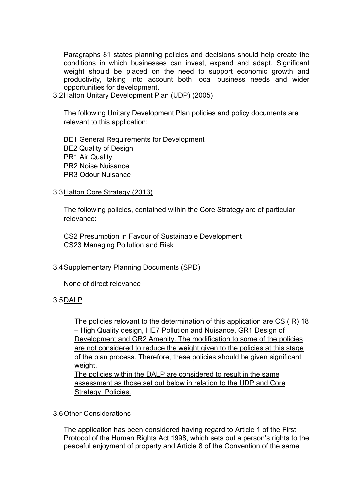Paragraphs 81 states planning policies and decisions should help create the conditions in which businesses can invest, expand and adapt. Significant weight should be placed on the need to support economic growth and productivity, taking into account both local business needs and wider opportunities for development.

3.2Halton Unitary Development Plan (UDP) (2005)

The following Unitary Development Plan policies and policy documents are relevant to this application:

BE1 General Requirements for Development BE2 Quality of Design PR1 Air Quality PR2 Noise Nuisance PR3 Odour Nuisance

### 3.3Halton Core Strategy (2013)

The following policies, contained within the Core Strategy are of particular relevance:

CS2 Presumption in Favour of Sustainable Development CS23 Managing Pollution and Risk

### 3.4Supplementary Planning Documents (SPD)

None of direct relevance

### 3.5DALP

The policies relovant to the determination of this application are CS ( R) 18 – High Quality design, HE7 Pollution and Nuisance, GR1 Design of Development and GR2 Amenity. The modification to some of the policies are not considered to reduce the weight given to the policies at this stage of the plan process. Therefore, these policies should be given significant weight.

The policies within the DALP are considered to result in the same assessment as those set out below in relation to the UDP and Core Strategy Policies.

### 3.6Other Considerations

The application has been considered having regard to Article 1 of the First Protocol of the Human Rights Act 1998, which sets out a person's rights to the peaceful enjoyment of property and Article 8 of the Convention of the same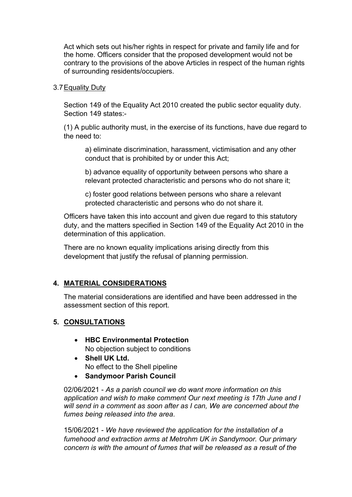Act which sets out his/her rights in respect for private and family life and for the home. Officers consider that the proposed development would not be contrary to the provisions of the above Articles in respect of the human rights of surrounding residents/occupiers.

3.7Equality Duty

Section 149 of the Equality Act 2010 created the public sector equality duty. Section 149 states:-

(1) A public authority must, in the exercise of its functions, have due regard to the need to:

a) eliminate discrimination, harassment, victimisation and any other conduct that is prohibited by or under this Act;

b) advance equality of opportunity between persons who share a relevant protected characteristic and persons who do not share it;

c) foster good relations between persons who share a relevant protected characteristic and persons who do not share it.

Officers have taken this into account and given due regard to this statutory duty, and the matters specified in Section 149 of the Equality Act 2010 in the determination of this application.

There are no known equality implications arising directly from this development that justify the refusal of planning permission.

# **4. MATERIAL CONSIDERATIONS**

The material considerations are identified and have been addressed in the assessment section of this report.

# **5. CONSULTATIONS**

- **HBC Environmental Protection** No objection subject to conditions
- **Shell UK Ltd.** No effect to the Shell pipeline
- **Sandymoor Parish Council**

02/06/2021 - *As a parish council we do want more information on this application and wish to make comment Our next meeting is 17th June and I will send in a comment as soon after as I can, We are concerned about the fumes being released into the area*.

15/06/2021 - *We have reviewed the application for the installation of a fumehood and extraction arms at Metrohm UK in Sandymoor. Our primary concern is with the amount of fumes that will be released as a result of the*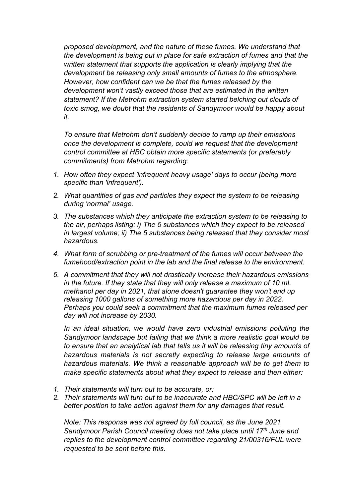*proposed development, and the nature of these fumes. We understand that the development is being put in place for safe extraction of fumes and that the written statement that supports the application is clearly implying that the development be releasing only small amounts of fumes to the atmosphere. However, how confident can we be that the fumes released by the development won't vastly exceed those that are estimated in the written statement? If the Metrohm extraction system started belching out clouds of toxic smog, we doubt that the residents of Sandymoor would be happy about it.*

*To ensure that Metrohm don't suddenly decide to ramp up their emissions once the development is complete, could we request that the development control committee at HBC obtain more specific statements (or preferably commitments) from Metrohm regarding:*

- *1. How often they expect 'infrequent heavy usage' days to occur (being more specific than 'infrequent').*
- *2. What quantities of gas and particles they expect the system to be releasing during 'normal' usage.*
- *3. The substances which they anticipate the extraction system to be releasing to the air, perhaps listing: i) The 5 substances which they expect to be released in largest volume; ii) The 5 substances being released that they consider most hazardous.*
- *4. What form of scrubbing or pre-treatment of the fumes will occur between the fumehood/extraction point in the lab and the final release to the environment.*
- *5. A commitment that they will not drastically increase their hazardous emissions in the future. If they state that they will only release a maximum of 10 mL methanol per day in 2021, that alone doesn't guarantee they won't end up releasing 1000 gallons of something more hazardous per day in 2022. Perhaps you could seek a commitment that the maximum fumes released per day will not increase by 2030.*

*In an ideal situation, we would have zero industrial emissions polluting the Sandymoor landscape but failing that we think a more realistic goal would be to ensure that an analytical lab that tells us it will be releasing tiny amounts of hazardous materials is not secretly expecting to release large amounts of hazardous materials. We think a reasonable approach will be to get them to make specific statements about what they expect to release and then either:*

- *1. Their statements will turn out to be accurate, or;*
- *2. Their statements will turn out to be inaccurate and HBC/SPC will be left in a better position to take action against them for any damages that result.*

*Note: This response was not agreed by full council, as the June 2021 Sandymoor Parish Council meeting does not take place until 17th June and replies to the development control committee regarding 21/00316/FUL were requested to be sent before this.*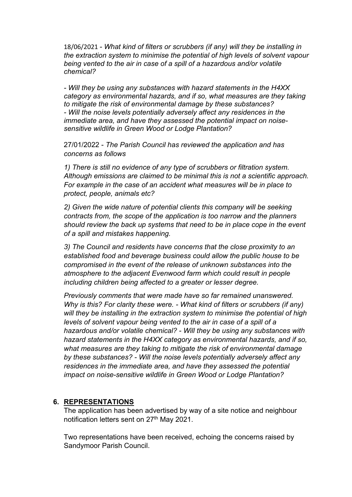18/06/2021 *- What kind of filters or scrubbers (if any) will they be installing in the extraction system to minimise the potential of high levels of solvent vapour being vented to the air in case of a spill of a hazardous and/or volatile chemical?*

*- Will they be using any substances with hazard statements in the H4XX category as environmental hazards, and if so, what measures are they taking to mitigate the risk of environmental damage by these substances? - Will the noise levels potentially adversely affect any residences in the immediate area, and have they assessed the potential impact on noisesensitive wildlife in Green Wood or Lodge Plantation?*

27/01/2022 - *The Parish Council has reviewed the application and has concerns as follows*

*1) There is still no evidence of any type of scrubbers or filtration system. Although emissions are claimed to be minimal this is not a scientific approach. For example in the case of an accident what measures will be in place to protect, people, animals etc?*

*2) Given the wide nature of potential clients this company will be seeking contracts from, the scope of the application is too narrow and the planners should review the back up systems that need to be in place cope in the event of a spill and mistakes happening.*

*3) The Council and residents have concerns that the close proximity to an established food and beverage business could allow the public house to be compromised in the event of the release of unknown substances into the atmosphere to the adjacent Evenwood farm which could result in people including children being affected to a greater or lesser degree.*

*Previously comments that were made have so far remained unanswered. Why is this? For clarity these were. - What kind of filters or scrubbers (if any) will they be installing in the extraction system to minimise the potential of high levels of solvent vapour being vented to the air in case of a spill of a hazardous and/or volatile chemical? - Will they be using any substances with hazard statements in the H4XX category as environmental hazards, and if so, what measures are they taking to mitigate the risk of environmental damage by these substances? - Will the noise levels potentially adversely affect any residences in the immediate area, and have they assessed the potential impact on noise-sensitive wildlife in Green Wood or Lodge Plantation?*

### **6. REPRESENTATIONS**

The application has been advertised by way of a site notice and neighbour notification letters sent on 27<sup>th</sup> May 2021.

Two representations have been received, echoing the concerns raised by Sandymoor Parish Council.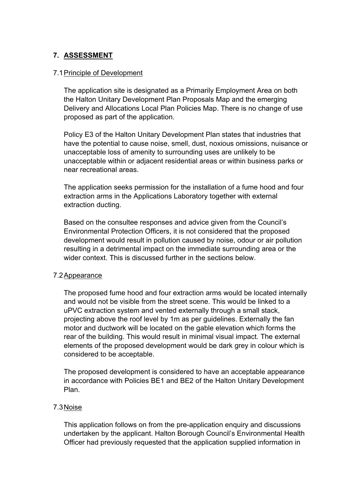# **7. ASSESSMENT**

### 7.1Principle of Development

The application site is designated as a Primarily Employment Area on both the Halton Unitary Development Plan Proposals Map and the emerging Delivery and Allocations Local Plan Policies Map. There is no change of use proposed as part of the application.

Policy E3 of the Halton Unitary Development Plan states that industries that have the potential to cause noise, smell, dust, noxious omissions, nuisance or unacceptable loss of amenity to surrounding uses are unlikely to be unacceptable within or adjacent residential areas or within business parks or near recreational areas.

The application seeks permission for the installation of a fume hood and four extraction arms in the Applications Laboratory together with external extraction ducting.

Based on the consultee responses and advice given from the Council's Environmental Protection Officers, it is not considered that the proposed development would result in pollution caused by noise, odour or air pollution resulting in a detrimental impact on the immediate surrounding area or the wider context. This is discussed further in the sections below.

### 7.2Appearance

The proposed fume hood and four extraction arms would be located internally and would not be visible from the street scene. This would be linked to a uPVC extraction system and vented externally through a small stack, projecting above the roof level by 1m as per guidelines. Externally the fan motor and ductwork will be located on the gable elevation which forms the rear of the building. This would result in minimal visual impact. The external elements of the proposed development would be dark grey in colour which is considered to be acceptable.

The proposed development is considered to have an acceptable appearance in accordance with Policies BE1 and BE2 of the Halton Unitary Development Plan.

# 7.3Noise

This application follows on from the pre-application enquiry and discussions undertaken by the applicant. Halton Borough Council's Environmental Health Officer had previously requested that the application supplied information in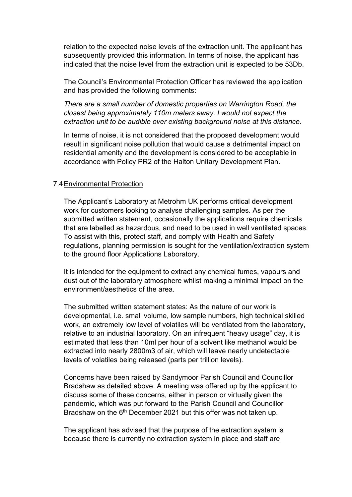relation to the expected noise levels of the extraction unit. The applicant has subsequently provided this information. In terms of noise, the applicant has indicated that the noise level from the extraction unit is expected to be 53Db.

The Council's Environmental Protection Officer has reviewed the application and has provided the following comments:

*There are a small number of domestic properties on Warrington Road, the closest being approximately 110m meters away. I would not expect the extraction unit to be audible over existing background noise at this distance.*

In terms of noise, it is not considered that the proposed development would result in significant noise pollution that would cause a detrimental impact on residential amenity and the development is considered to be acceptable in accordance with Policy PR2 of the Halton Unitary Development Plan.

#### 7.4Environmental Protection

The Applicant's Laboratory at Metrohm UK performs critical development work for customers looking to analyse challenging samples. As per the submitted written statement, occasionally the applications require chemicals that are labelled as hazardous, and need to be used in well ventilated spaces. To assist with this, protect staff, and comply with Health and Safety regulations, planning permission is sought for the ventilation/extraction system to the ground floor Applications Laboratory.

It is intended for the equipment to extract any chemical fumes, vapours and dust out of the laboratory atmosphere whilst making a minimal impact on the environment/aesthetics of the area.

The submitted written statement states: As the nature of our work is developmental, i.e. small volume, low sample numbers, high technical skilled work, an extremely low level of volatiles will be ventilated from the laboratory, relative to an industrial laboratory. On an infrequent "heavy usage" day, it is estimated that less than 10ml per hour of a solvent like methanol would be extracted into nearly 2800m3 of air, which will leave nearly undetectable levels of volatiles being released (parts per trillion levels).

Concerns have been raised by Sandymoor Parish Council and Councillor Bradshaw as detailed above. A meeting was offered up by the applicant to discuss some of these concerns, either in person or virtually given the pandemic, which was put forward to the Parish Council and Councillor Bradshaw on the 6<sup>th</sup> December 2021 but this offer was not taken up.

The applicant has advised that the purpose of the extraction system is because there is currently no extraction system in place and staff are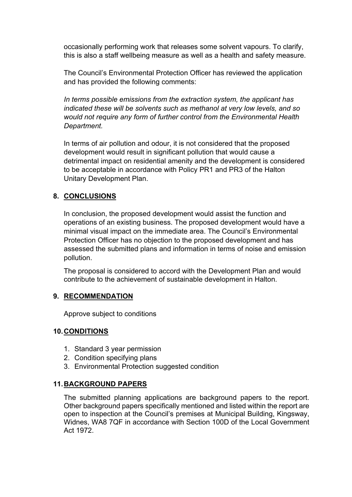occasionally performing work that releases some solvent vapours. To clarify, this is also a staff wellbeing measure as well as a health and safety measure.

The Council's Environmental Protection Officer has reviewed the application and has provided the following comments:

*In terms possible emissions from the extraction system, the applicant has indicated these will be solvents such as methanol at very low levels, and so would not require any form of further control from the Environmental Health Department.*

In terms of air pollution and odour, it is not considered that the proposed development would result in significant pollution that would cause a detrimental impact on residential amenity and the development is considered to be acceptable in accordance with Policy PR1 and PR3 of the Halton Unitary Development Plan.

# **8. CONCLUSIONS**

In conclusion, the proposed development would assist the function and operations of an existing business. The proposed development would have a minimal visual impact on the immediate area. The Council's Environmental Protection Officer has no objection to the proposed development and has assessed the submitted plans and information in terms of noise and emission pollution.

The proposal is considered to accord with the Development Plan and would contribute to the achievement of sustainable development in Halton.

# **9. RECOMMENDATION**

Approve subject to conditions

# **10.CONDITIONS**

- 1. Standard 3 year permission
- 2. Condition specifying plans
- 3. Environmental Protection suggested condition

# **11.BACKGROUND PAPERS**

The submitted planning applications are background papers to the report. Other background papers specifically mentioned and listed within the report are open to inspection at the Council's premises at Municipal Building, Kingsway, Widnes, WA8 7QF in accordance with Section 100D of the Local Government Act 1972.